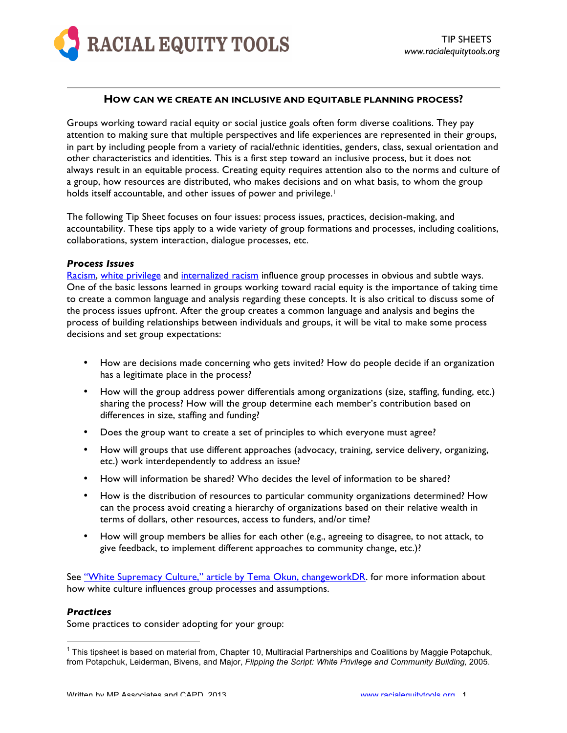

### **HOW CAN WE CREATE AN INCLUSIVE AND EQUITABLE PLANNING PROCESS?**

Groups working toward racial equity or social justice goals often form diverse coalitions. They pay attention to making sure that multiple perspectives and life experiences are represented in their groups, in part by including people from a variety of racial/ethnic identities, genders, class, sexual orientation and other characteristics and identities. This is a first step toward an inclusive process, but it does not always result in an equitable process. Creating equity requires attention also to the norms and culture of a group, how resources are distributed, who makes decisions and on what basis, to whom the group holds itself accountable, and other issues of power and privilege.<sup>1</sup>

The following Tip Sheet focuses on four issues: process issues, practices, decision-making, and accountability. These tips apply to a wide variety of group formations and processes, including coalitions, collaborations, system interaction, dialogue processes, etc.

#### *Process Issues*

Racism, white privilege and internalized racism influence group processes in obvious and subtle ways. One of the basic lessons learned in groups working toward racial equity is the importance of taking time to create a common language and analysis regarding these concepts. It is also critical to discuss some of the process issues upfront. After the group creates a common language and analysis and begins the process of building relationships between individuals and groups, it will be vital to make some process decisions and set group expectations:

- How are decisions made concerning who gets invited? How do people decide if an organization has a legitimate place in the process?
- How will the group address power differentials among organizations (size, staffing, funding, etc.) sharing the process? How will the group determine each member's contribution based on differences in size, staffing and funding?
- Does the group want to create a set of principles to which everyone must agree?
- How will groups that use different approaches (advocacy, training, service delivery, organizing, etc.) work interdependently to address an issue?
- How will information be shared? Who decides the level of information to be shared?
- How is the distribution of resources to particular community organizations determined? How can the process avoid creating a hierarchy of organizations based on their relative wealth in terms of dollars, other resources, access to funders, and/or time?
- How will group members be allies for each other (e.g., agreeing to disagree, to not attack, to give feedback, to implement different approaches to community change, etc.)?

See "White Supremacy Culture," article by Tema Okun, changeworkDR. for more information about how white culture influences group processes and assumptions.

# *Practices*

Some practices to consider adopting for your group:

 $\frac{1}{1}$  $1$  This tipsheet is based on material from, Chapter 10, Multiracial Partnerships and Coalitions by Maggie Potapchuk, from Potapchuk, Leiderman, Bivens, and Major, *Flipping the Script: White Privilege and Community Building,* 2005.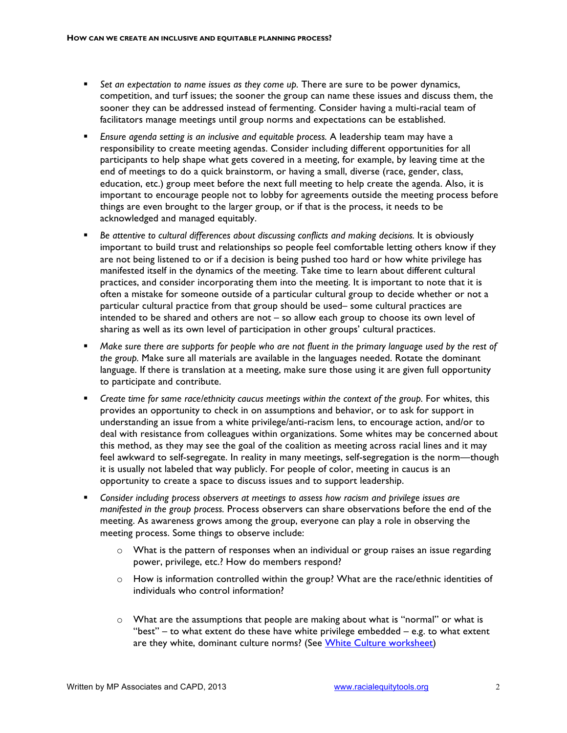- *Set an expectation to name issues as they come up.* There are sure to be power dynamics, competition, and turf issues; the sooner the group can name these issues and discuss them, the sooner they can be addressed instead of fermenting. Consider having a multi-racial team of facilitators manage meetings until group norms and expectations can be established.
- *Ensure agenda setting is an inclusive and equitable process.* A leadership team may have a responsibility to create meeting agendas. Consider including different opportunities for all participants to help shape what gets covered in a meeting, for example, by leaving time at the end of meetings to do a quick brainstorm, or having a small, diverse (race, gender, class, education, etc.) group meet before the next full meeting to help create the agenda. Also, it is important to encourage people not to lobby for agreements outside the meeting process before things are even brought to the larger group, or if that is the process, it needs to be acknowledged and managed equitably.
- *Be attentive to cultural differences about discussing conflicts and making decisions.* It is obviously important to build trust and relationships so people feel comfortable letting others know if they are not being listened to or if a decision is being pushed too hard or how white privilege has manifested itself in the dynamics of the meeting. Take time to learn about different cultural practices, and consider incorporating them into the meeting. It is important to note that it is often a mistake for someone outside of a particular cultural group to decide whether or not a particular cultural practice from that group should be used– some cultural practices are intended to be shared and others are not – so allow each group to choose its own level of sharing as well as its own level of participation in other groups' cultural practices.
- *Make sure there are supports for people who are not fluent in the primary language used by the rest of the group.* Make sure all materials are available in the languages needed. Rotate the dominant language. If there is translation at a meeting, make sure those using it are given full opportunity to participate and contribute.
- *Create time for same race/ethnicity caucus meetings within the context of the group.* For whites, this provides an opportunity to check in on assumptions and behavior, or to ask for support in understanding an issue from a white privilege/anti-racism lens, to encourage action, and/or to deal with resistance from colleagues within organizations. Some whites may be concerned about this method, as they may see the goal of the coalition as meeting across racial lines and it may feel awkward to self-segregate. In reality in many meetings, self-segregation is the norm—though it is usually not labeled that way publicly. For people of color, meeting in caucus is an opportunity to create a space to discuss issues and to support leadership.
- *Consider including process observers at meetings to assess how racism and privilege issues are manifested in the group process.* Process observers can share observations before the end of the meeting. As awareness grows among the group, everyone can play a role in observing the meeting process. Some things to observe include:
	- $\circ$  What is the pattern of responses when an individual or group raises an issue regarding power, privilege, etc.? How do members respond?
	- $\circ$  How is information controlled within the group? What are the race/ethnic identities of individuals who control information?
	- $\circ$  What are the assumptions that people are making about what is "normal" or what is "best" – to what extent do these have white privilege embedded – e.g. to what extent are they white, dominant culture norms? (See White Culture worksheet)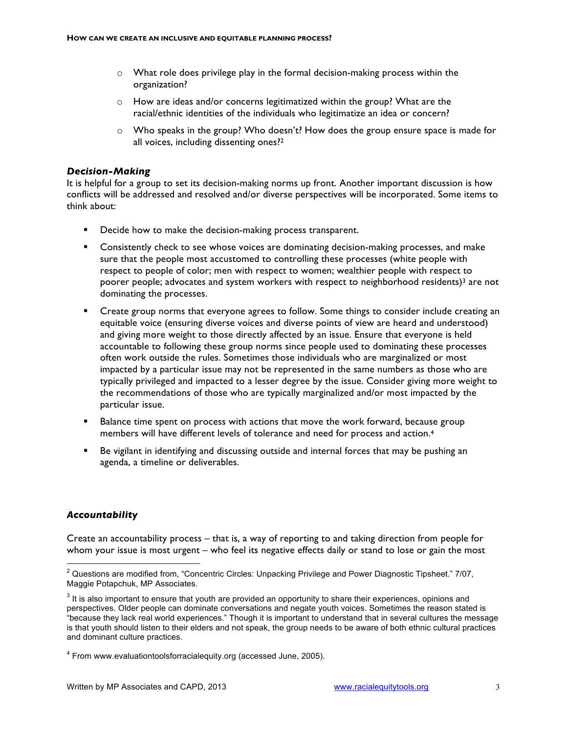- $\circ$  What role does privilege play in the formal decision-making process within the organization?
- o How are ideas and/or concerns legitimatized within the group? What are the racial/ethnic identities of the individuals who legitimatize an idea or concern?
- $\circ$  Who speaks in the group? Who doesn't? How does the group ensure space is made for all voices, including dissenting ones?2

# *Decision-Making*

It is helpful for a group to set its decision-making norms up front. Another important discussion is how conflicts will be addressed and resolved and/or diverse perspectives will be incorporated. Some items to think about:

- **Decide how to make the decision-making process transparent.**
- Consistently check to see whose voices are dominating decision-making processes, and make sure that the people most accustomed to controlling these processes (white people with respect to people of color; men with respect to women; wealthier people with respect to poorer people; advocates and system workers with respect to neighborhood residents)<sup>3</sup> are not dominating the processes.
- Create group norms that everyone agrees to follow. Some things to consider include creating an equitable voice (ensuring diverse voices and diverse points of view are heard and understood) and giving more weight to those directly affected by an issue. Ensure that everyone is held accountable to following these group norms since people used to dominating these processes often work outside the rules. Sometimes those individuals who are marginalized or most impacted by a particular issue may not be represented in the same numbers as those who are typically privileged and impacted to a lesser degree by the issue. Consider giving more weight to the recommendations of those who are typically marginalized and/or most impacted by the particular issue.
- **Balance time spent on process with actions that move the work forward, because group** members will have different levels of tolerance and need for process and action.4
- Be vigilant in identifying and discussing outside and internal forces that may be pushing an agenda, a timeline or deliverables.

# *Accountability*

Create an accountability process – that is, a way of reporting to and taking direction from people for whom your issue is most urgent – who feel its negative effects daily or stand to lose or gain the most

 $\frac{1}{2}$ <sup>2</sup> Questions are modified from, "Concentric Circles: Unpacking Privilege and Power Diagnostic Tipsheet." 7/07, Maggie Potapchuk, MP Associates.

 $3$  It is also important to ensure that youth are provided an opportunity to share their experiences, opinions and perspectives. Older people can dominate conversations and negate youth voices. Sometimes the reason stated is "because they lack real world experiences." Though it is important to understand that in several cultures the message is that youth should listen to their elders and not speak, the group needs to be aware of both ethnic cultural practices and dominant culture practices.

<sup>&</sup>lt;sup>4</sup> From www.evaluationtoolsforracialequity.org (accessed June, 2005).